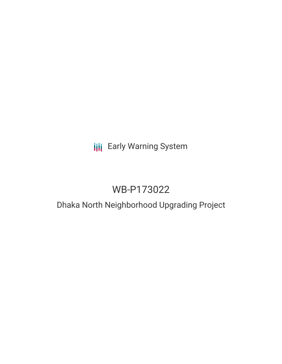## **III** Early Warning System

# WB-P173022

## Dhaka North Neighborhood Upgrading Project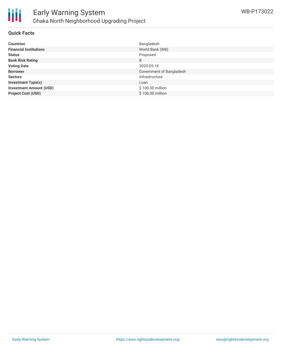

#### **Quick Facts**

| <b>Countries</b>               | Bangladesh               |
|--------------------------------|--------------------------|
| <b>Financial Institutions</b>  | World Bank (WB)          |
| <b>Status</b>                  | Proposed                 |
| <b>Bank Risk Rating</b>        | B                        |
| <b>Voting Date</b>             | 2020-05-18               |
| <b>Borrower</b>                | Government of Bangladesh |
| <b>Sectors</b>                 | Infrastructure           |
| <b>Investment Type(s)</b>      | Loan                     |
| <b>Investment Amount (USD)</b> | \$100.00 million         |
| <b>Project Cost (USD)</b>      | \$106.00 million         |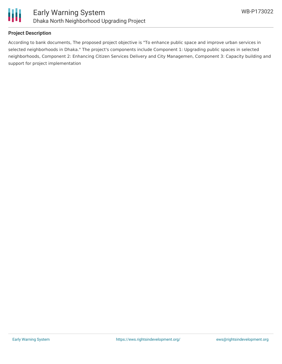

### **Project Description**

According to bank documents, The proposed project objective is "To enhance public space and improve urban services in selected neighborhoods in Dhaka." The project's components include Component 1: Upgrading public spaces in selected neighborhoods, Component 2: Enhancing Citizen Services Delivery and City Managemen, Component 3: Capacity building and support for project implementation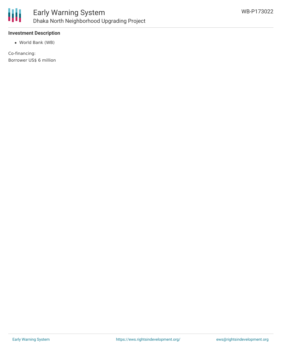

### **Investment Description**

World Bank (WB)

Co-financing: Borrower US\$ 6 million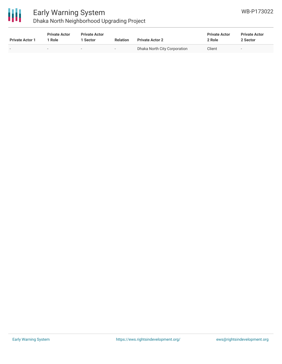

### Early Warning System Dhaka North Neighborhood Upgrading Project

| <b>Private Actor 1</b> | <b>Private Actor</b><br>l Role | <b>Private Actor</b><br>l Sector | <b>Relation</b>          | <b>Private Actor 2</b>       | <b>Private Actor</b><br>2 Role | <b>Private Actor</b><br>2 Sector |  |
|------------------------|--------------------------------|----------------------------------|--------------------------|------------------------------|--------------------------------|----------------------------------|--|
|                        | $\overline{\phantom{a}}$       | $\overline{\phantom{0}}$         | $\overline{\phantom{0}}$ | Dhaka North City Corporation | Client                         | $-$                              |  |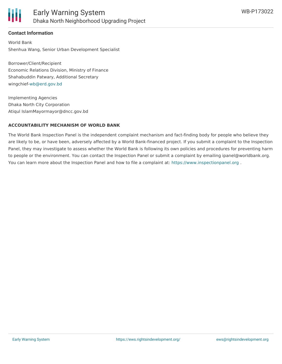

### **Contact Information**

World Bank Shenhua Wang, Senior Urban Development Specialist

Borrower/Client/Recipient Economic Relations Division, Ministry of Finance Shahabuddin Patwary, Additional Secretary wingchief[-wb@erd.gov.bd](mailto:wb@erd.gov.bd)

Implementing Agencies Dhaka North City Corporation Atiqul IslamMayormayor@dncc.gov.bd

### **ACCOUNTABILITY MECHANISM OF WORLD BANK**

The World Bank Inspection Panel is the independent complaint mechanism and fact-finding body for people who believe they are likely to be, or have been, adversely affected by a World Bank-financed project. If you submit a complaint to the Inspection Panel, they may investigate to assess whether the World Bank is following its own policies and procedures for preventing harm to people or the environment. You can contact the Inspection Panel or submit a complaint by emailing ipanel@worldbank.org. You can learn more about the Inspection Panel and how to file a complaint at: <https://www.inspectionpanel.org> .